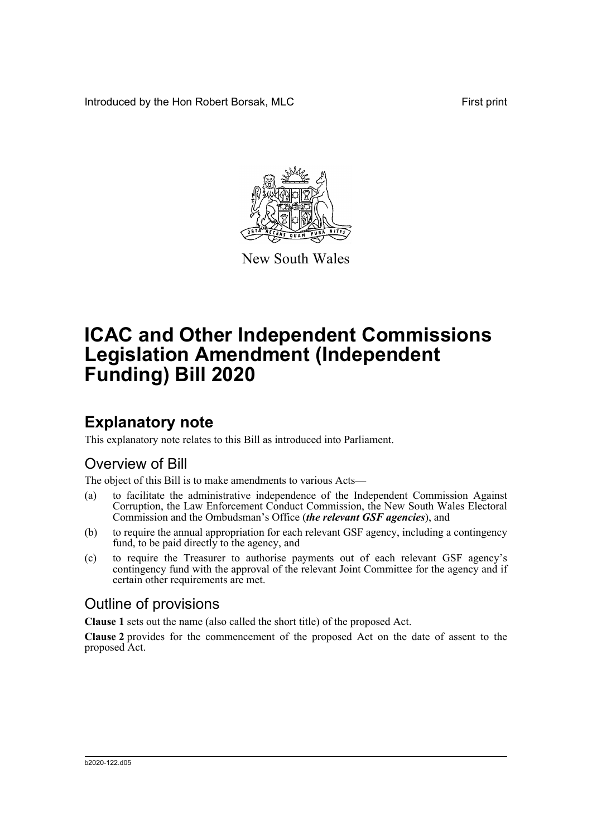Introduced by the Hon Robert Borsak, MLC First print



New South Wales

# **ICAC and Other Independent Commissions Legislation Amendment (Independent Funding) Bill 2020**

## **Explanatory note**

This explanatory note relates to this Bill as introduced into Parliament.

### Overview of Bill

The object of this Bill is to make amendments to various Acts—

- (a) to facilitate the administrative independence of the Independent Commission Against Corruption, the Law Enforcement Conduct Commission, the New South Wales Electoral Commission and the Ombudsman's Office (*the relevant GSF agencies*), and
- (b) to require the annual appropriation for each relevant GSF agency, including a contingency fund, to be paid directly to the agency, and
- (c) to require the Treasurer to authorise payments out of each relevant GSF agency's contingency fund with the approval of the relevant Joint Committee for the agency and if certain other requirements are met.

### Outline of provisions

**Clause 1** sets out the name (also called the short title) of the proposed Act.

**Clause 2** provides for the commencement of the proposed Act on the date of assent to the proposed Act.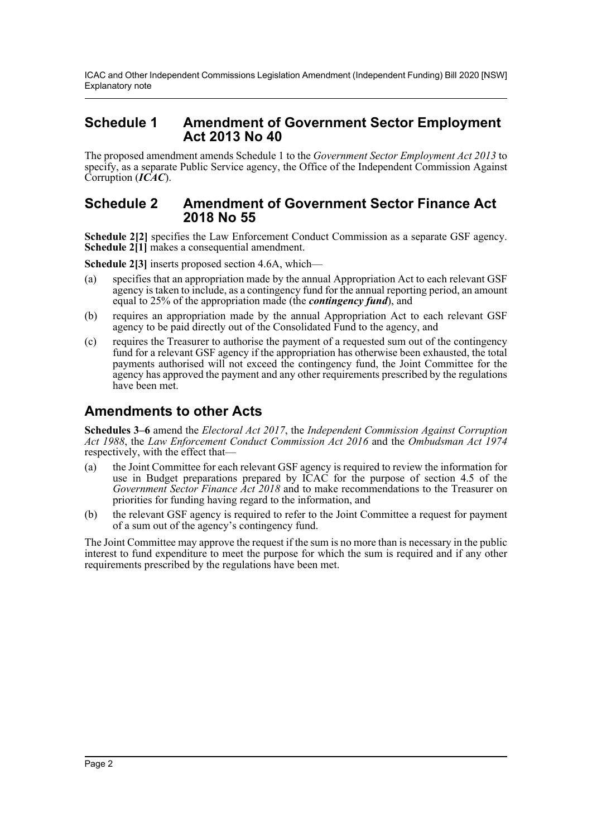ICAC and Other Independent Commissions Legislation Amendment (Independent Funding) Bill 2020 [NSW] Explanatory note

#### **Schedule 1 Amendment of Government Sector Employment Act 2013 No 40**

The proposed amendment amends Schedule 1 to the *Government Sector Employment Act 2013* to specify, as a separate Public Service agency, the Office of the Independent Commission Against Corruption (*ICAC*).

#### **Schedule 2 Amendment of Government Sector Finance Act 2018 No 55**

**Schedule 2[2]** specifies the Law Enforcement Conduct Commission as a separate GSF agency. **Schedule 2<sup>[1]</sup>** makes a consequential amendment.

**Schedule 2[3]** inserts proposed section 4.6A, which—

- (a) specifies that an appropriation made by the annual Appropriation Act to each relevant GSF agency is taken to include, as a contingency fund for the annual reporting period, an amount equal to 25% of the appropriation made (the *contingency fund*), and
- (b) requires an appropriation made by the annual Appropriation Act to each relevant GSF agency to be paid directly out of the Consolidated Fund to the agency, and
- (c) requires the Treasurer to authorise the payment of a requested sum out of the contingency fund for a relevant GSF agency if the appropriation has otherwise been exhausted, the total payments authorised will not exceed the contingency fund, the Joint Committee for the agency has approved the payment and any other requirements prescribed by the regulations have been met.

### **Amendments to other Acts**

**Schedules 3–6** amend the *Electoral Act 2017*, the *Independent Commission Against Corruption Act 1988*, the *Law Enforcement Conduct Commission Act 2016* and the *Ombudsman Act 1974* respectively, with the effect that—

- (a) the Joint Committee for each relevant GSF agency is required to review the information for use in Budget preparations prepared by  $\overline{C}AC$  for the purpose of section 4.5 of the *Government Sector Finance Act 2018* and to make recommendations to the Treasurer on priorities for funding having regard to the information, and
- (b) the relevant GSF agency is required to refer to the Joint Committee a request for payment of a sum out of the agency's contingency fund.

The Joint Committee may approve the request if the sum is no more than is necessary in the public interest to fund expenditure to meet the purpose for which the sum is required and if any other requirements prescribed by the regulations have been met.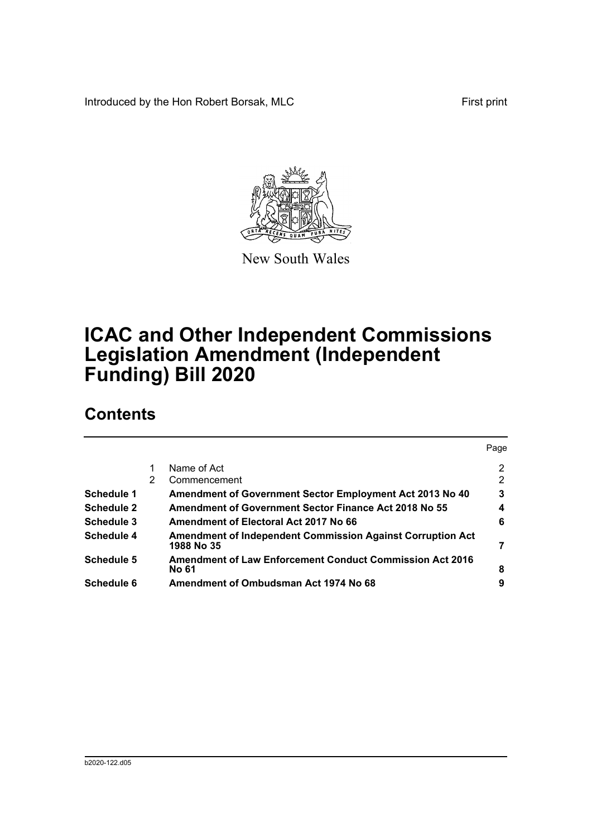Introduced by the Hon Robert Borsak, MLC First print



New South Wales

# **ICAC and Other Independent Commissions Legislation Amendment (Independent Funding) Bill 2020**

### **Contents**

|                   |   |                                                                                 | Page |
|-------------------|---|---------------------------------------------------------------------------------|------|
|                   |   | Name of Act                                                                     | 2    |
|                   | 2 | Commencement                                                                    | 2    |
| Schedule 1        |   | Amendment of Government Sector Employment Act 2013 No 40                        | 3    |
| <b>Schedule 2</b> |   | <b>Amendment of Government Sector Finance Act 2018 No 55</b>                    | 4    |
| <b>Schedule 3</b> |   | Amendment of Electoral Act 2017 No 66                                           | 6    |
| <b>Schedule 4</b> |   | <b>Amendment of Independent Commission Against Corruption Act</b><br>1988 No 35 | 7    |
| <b>Schedule 5</b> |   | <b>Amendment of Law Enforcement Conduct Commission Act 2016</b><br><b>No 61</b> | 8    |
| Schedule 6        |   | Amendment of Ombudsman Act 1974 No 68                                           | 9    |
|                   |   |                                                                                 |      |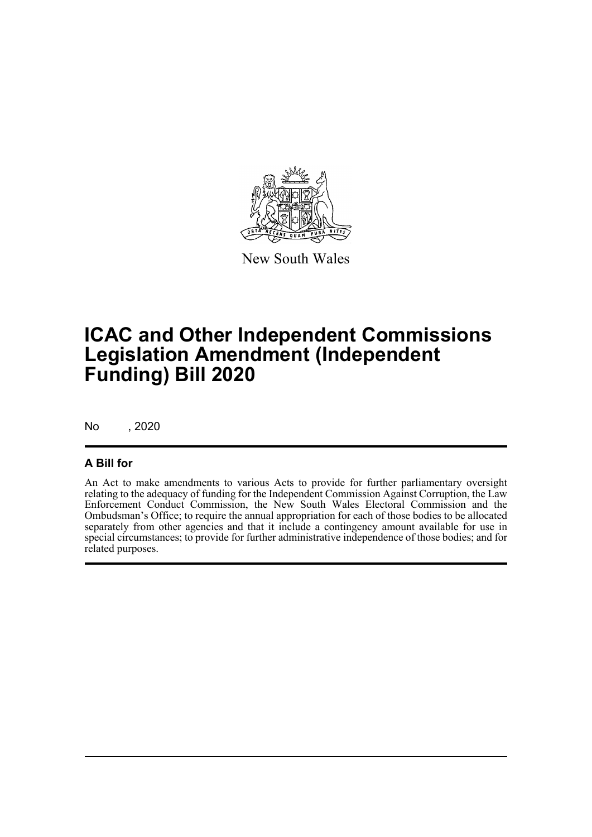

New South Wales

## **ICAC and Other Independent Commissions Legislation Amendment (Independent Funding) Bill 2020**

No , 2020

#### **A Bill for**

An Act to make amendments to various Acts to provide for further parliamentary oversight relating to the adequacy of funding for the Independent Commission Against Corruption, the Law Enforcement Conduct Commission, the New South Wales Electoral Commission and the Ombudsman's Office; to require the annual appropriation for each of those bodies to be allocated separately from other agencies and that it include a contingency amount available for use in special circumstances; to provide for further administrative independence of those bodies; and for related purposes.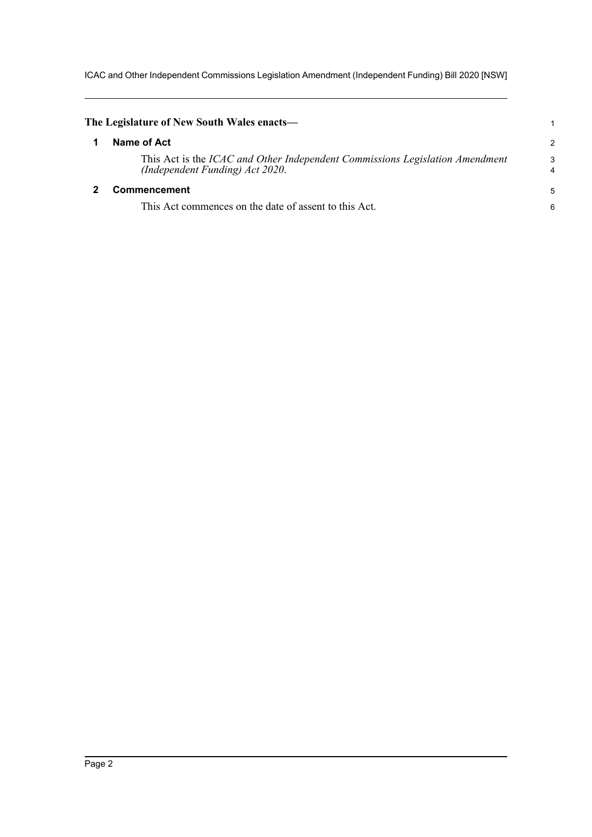ICAC and Other Independent Commissions Legislation Amendment (Independent Funding) Bill 2020 [NSW]

<span id="page-4-1"></span><span id="page-4-0"></span>

| The Legislature of New South Wales enacts—                                                                      |        |
|-----------------------------------------------------------------------------------------------------------------|--------|
| Name of Act                                                                                                     | 2      |
| This Act is the ICAC and Other Independent Commissions Legislation Amendment<br>(Independent Funding) Act 2020. | 3<br>4 |
| Commencement                                                                                                    | 5      |
| This Act commences on the date of assent to this Act.                                                           | 6      |
|                                                                                                                 |        |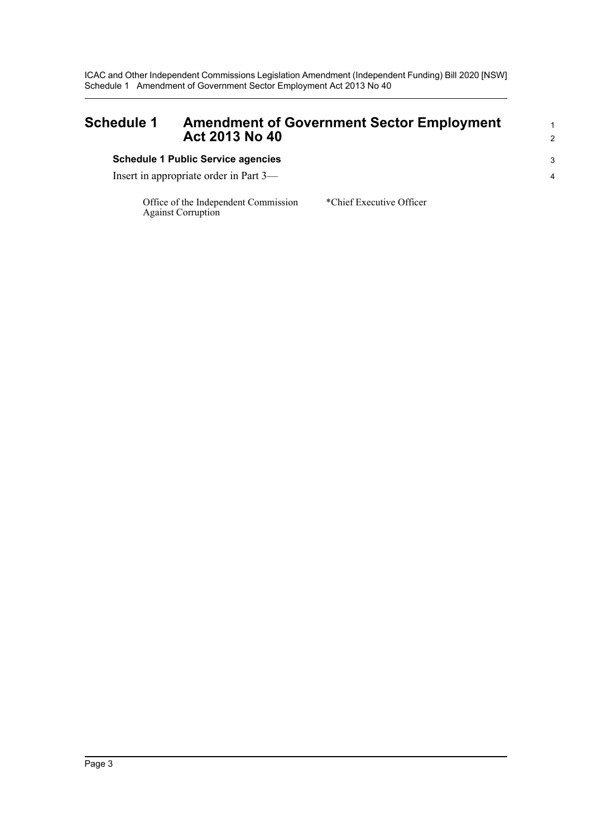ICAC and Other Independent Commissions Legislation Amendment (Independent Funding) Bill 2020 [NSW] Schedule 1 Amendment of Government Sector Employment Act 2013 No 40

<span id="page-5-0"></span>

| <b>Schedule 1</b> | <b>Amendment of Government Sector Employment</b><br>Act 2013 No 40 |    |
|-------------------|--------------------------------------------------------------------|----|
|                   | <b>Schedule 1 Public Service agencies</b>                          | -3 |
|                   | Insert in appropriate order in Part 3—                             | 4  |

Office of the Independent Commission Against Corruption

\*Chief Executive Officer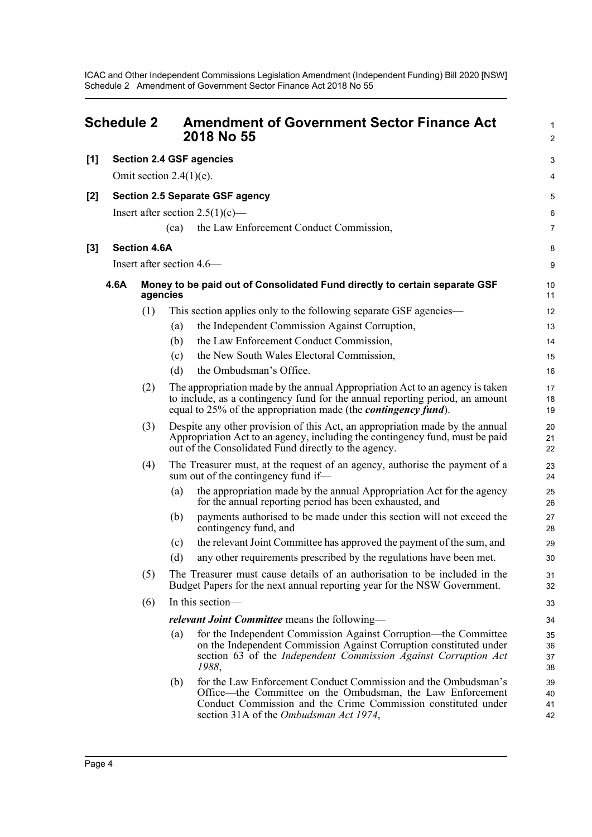ICAC and Other Independent Commissions Legislation Amendment (Independent Funding) Bill 2020 [NSW] Schedule 2 Amendment of Government Sector Finance Act 2018 No 55

<span id="page-6-0"></span>

|       | <b>Schedule 2</b>                      |                     | <b>Amendment of Government Sector Finance Act</b><br>2018 No 55                                                                                                                                                                                | $\mathbf{1}$<br>$\overline{2}$ |  |  |
|-------|----------------------------------------|---------------------|------------------------------------------------------------------------------------------------------------------------------------------------------------------------------------------------------------------------------------------------|--------------------------------|--|--|
| [1]   |                                        |                     | <b>Section 2.4 GSF agencies</b>                                                                                                                                                                                                                | 3                              |  |  |
|       |                                        |                     | Omit section $2.4(1)(e)$ .                                                                                                                                                                                                                     | 4                              |  |  |
| [2]   | <b>Section 2.5 Separate GSF agency</b> |                     |                                                                                                                                                                                                                                                |                                |  |  |
|       |                                        |                     | Insert after section $2.5(1)(c)$ —                                                                                                                                                                                                             | 5<br>6                         |  |  |
|       |                                        |                     | the Law Enforcement Conduct Commission,<br>(ca)                                                                                                                                                                                                | $\overline{7}$                 |  |  |
| $[3]$ |                                        | <b>Section 4.6A</b> |                                                                                                                                                                                                                                                | 8                              |  |  |
|       |                                        |                     | Insert after section 4.6—                                                                                                                                                                                                                      | 9                              |  |  |
|       | 4.6A                                   |                     | Money to be paid out of Consolidated Fund directly to certain separate GSF<br>agencies                                                                                                                                                         | 10<br>11                       |  |  |
|       |                                        | (1)                 | This section applies only to the following separate GSF agencies—                                                                                                                                                                              | 12                             |  |  |
|       |                                        |                     | the Independent Commission Against Corruption,<br>(a)                                                                                                                                                                                          | 13                             |  |  |
|       |                                        |                     | the Law Enforcement Conduct Commission,<br>(b)                                                                                                                                                                                                 | 14                             |  |  |
|       |                                        |                     | the New South Wales Electoral Commission,<br>(c)                                                                                                                                                                                               | 15                             |  |  |
|       |                                        |                     | the Ombudsman's Office.<br>(d)                                                                                                                                                                                                                 | 16                             |  |  |
|       |                                        | (2)                 | The appropriation made by the annual Appropriation Act to an agency is taken<br>to include, as a contingency fund for the annual reporting period, an amount<br>equal to 25% of the appropriation made (the <i>contingency fund</i> ).         | 17<br>18<br>19                 |  |  |
|       |                                        | (3)                 | Despite any other provision of this Act, an appropriation made by the annual<br>Appropriation Act to an agency, including the contingency fund, must be paid<br>out of the Consolidated Fund directly to the agency.                           | 20<br>21<br>22                 |  |  |
|       |                                        | (4)                 | The Treasurer must, at the request of an agency, authorise the payment of a<br>sum out of the contingency fund if—                                                                                                                             | 23<br>24                       |  |  |
|       |                                        |                     | the appropriation made by the annual Appropriation Act for the agency<br>(a)<br>for the annual reporting period has been exhausted, and                                                                                                        | 25<br>26                       |  |  |
|       |                                        |                     | payments authorised to be made under this section will not exceed the<br>(b)<br>contingency fund, and                                                                                                                                          | 27<br>28                       |  |  |
|       |                                        |                     | the relevant Joint Committee has approved the payment of the sum, and<br>(c)                                                                                                                                                                   | 29                             |  |  |
|       |                                        |                     | any other requirements prescribed by the regulations have been met.<br>(d)                                                                                                                                                                     | 30                             |  |  |
|       |                                        | (5)                 | The Treasurer must cause details of an authorisation to be included in the<br>Budget Papers for the next annual reporting year for the NSW Government.                                                                                         | 31<br>32                       |  |  |
|       |                                        | (6)                 | In this section-                                                                                                                                                                                                                               | 33                             |  |  |
|       |                                        |                     | relevant Joint Committee means the following-                                                                                                                                                                                                  | 34                             |  |  |
|       |                                        |                     | for the Independent Commission Against Corruption-the Committee<br>(a)<br>on the Independent Commission Against Corruption constituted under<br>section 63 of the Independent Commission Against Corruption Act<br>1988,                       | 35<br>36<br>37<br>38           |  |  |
|       |                                        |                     | for the Law Enforcement Conduct Commission and the Ombudsman's<br>(b)<br>Office—the Committee on the Ombudsman, the Law Enforcement<br>Conduct Commission and the Crime Commission constituted under<br>section 31A of the Ombudsman Act 1974, | 39<br>40<br>41<br>42           |  |  |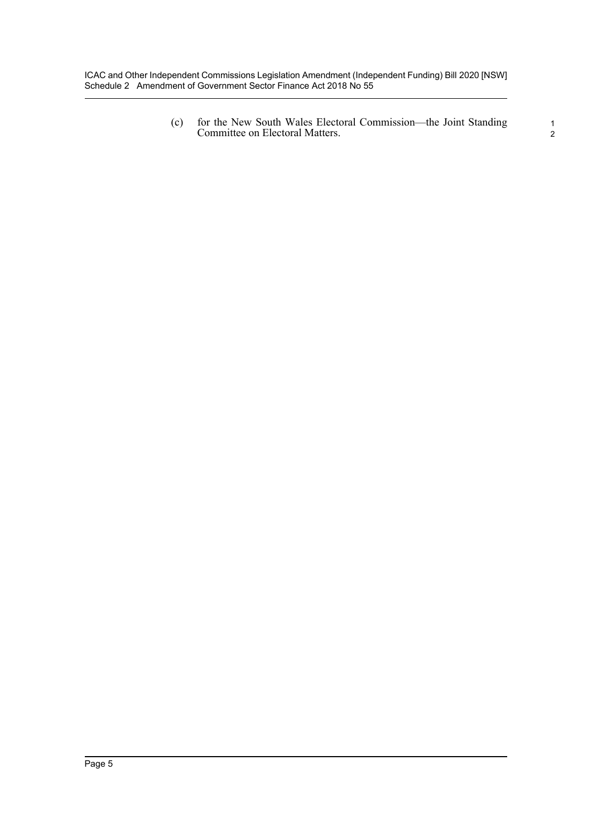ICAC and Other Independent Commissions Legislation Amendment (Independent Funding) Bill 2020 [NSW] Schedule 2 Amendment of Government Sector Finance Act 2018 No 55

> (c) for the New South Wales Electoral Commission—the Joint Standing Committee on Electoral Matters.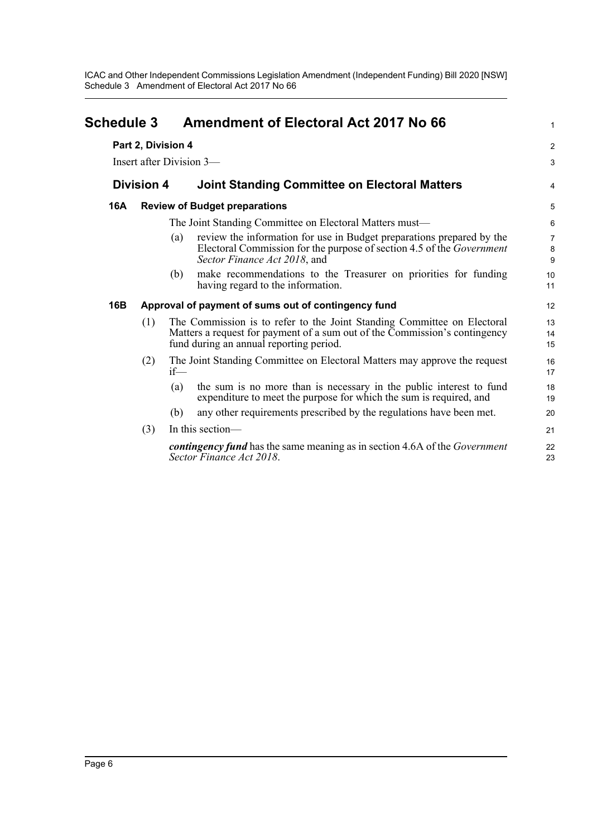ICAC and Other Independent Commissions Legislation Amendment (Independent Funding) Bill 2020 [NSW] Schedule 3 Amendment of Electoral Act 2017 No 66

<span id="page-8-0"></span>

| <b>Schedule 3</b>        |                    | <b>Amendment of Electoral Act 2017 No 66</b>                                                                                                                                                     |                          |  |  |
|--------------------------|--------------------|--------------------------------------------------------------------------------------------------------------------------------------------------------------------------------------------------|--------------------------|--|--|
|                          | Part 2, Division 4 |                                                                                                                                                                                                  | $\overline{2}$           |  |  |
| Insert after Division 3— |                    |                                                                                                                                                                                                  |                          |  |  |
|                          | <b>Division 4</b>  | <b>Joint Standing Committee on Electoral Matters</b>                                                                                                                                             | 4                        |  |  |
| 16A                      |                    | <b>Review of Budget preparations</b>                                                                                                                                                             | 5                        |  |  |
|                          |                    | The Joint Standing Committee on Electoral Matters must—                                                                                                                                          | $6\phantom{1}6$          |  |  |
|                          |                    | review the information for use in Budget preparations prepared by the<br>(a)<br>Electoral Commission for the purpose of section 4.5 of the <i>Government</i><br>Sector Finance Act 2018, and     | $\overline{7}$<br>8<br>9 |  |  |
|                          |                    | make recommendations to the Treasurer on priorities for funding<br>(b)<br>having regard to the information.                                                                                      | 10<br>11                 |  |  |
| 16B                      |                    | Approval of payment of sums out of contingency fund                                                                                                                                              | 12                       |  |  |
|                          | (1)                | The Commission is to refer to the Joint Standing Committee on Electoral<br>Matters a request for payment of a sum out of the Commission's contingency<br>fund during an annual reporting period. | 13<br>14<br>15           |  |  |
|                          | (2)                | The Joint Standing Committee on Electoral Matters may approve the request<br>$if$ —                                                                                                              | 16<br>17                 |  |  |
|                          |                    | the sum is no more than is necessary in the public interest to fund<br>(a)<br>expenditure to meet the purpose for which the sum is required, and                                                 | 18<br>19                 |  |  |
|                          |                    | any other requirements prescribed by the regulations have been met.<br>(b)                                                                                                                       | 20                       |  |  |
|                          | (3)                | In this section-                                                                                                                                                                                 | 21                       |  |  |
|                          |                    | <b><i>contingency fund</i></b> has the same meaning as in section 4.6A of the <i>Government</i><br>Sector Finance Act 2018.                                                                      | 22<br>23                 |  |  |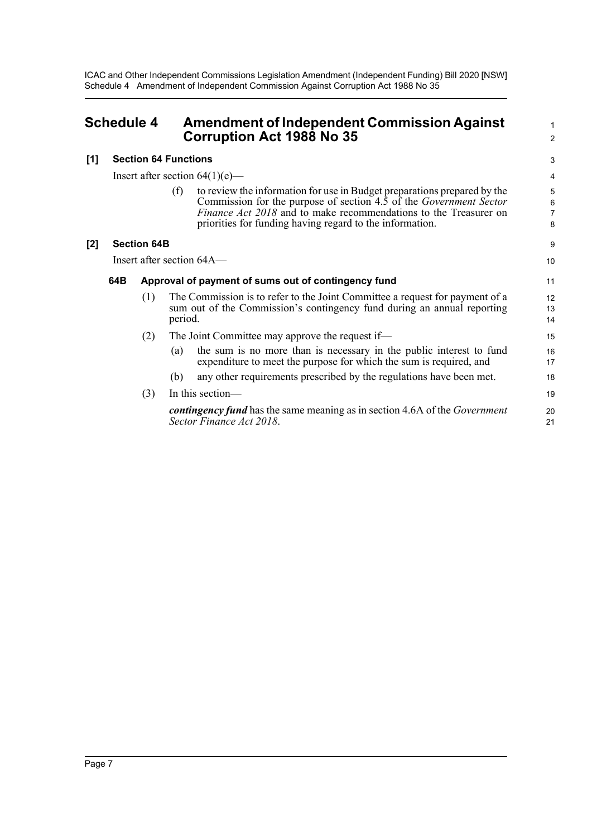ICAC and Other Independent Commissions Legislation Amendment (Independent Funding) Bill 2020 [NSW] Schedule 4 Amendment of Independent Commission Against Corruption Act 1988 No 35

<span id="page-9-0"></span>

| <b>Schedule 4</b> |                             | <b>Amendment of Independent Commission Against</b><br><b>Corruption Act 1988 No 35</b> |  |
|-------------------|-----------------------------|----------------------------------------------------------------------------------------|--|
| [1]               | <b>Section 64 Functions</b> |                                                                                        |  |

Insert after section  $64(1)(e)$ —

(f) to review the information for use in Budget preparations prepared by the Commission for the purpose of section 4.5 of the *Government Sector Finance Act 2018* and to make recommendations to the Treasurer on priorities for funding having regard to the information.

1  $\overline{2}$ 

9 10

#### **[2] Section 64B**

Insert after section 64A—

#### **64B Approval of payment of sums out of contingency fund**

- (1) The Commission is to refer to the Joint Committee a request for payment of a sum out of the Commission's contingency fund during an annual reporting period.
- (2) The Joint Committee may approve the request if—
	- (a) the sum is no more than is necessary in the public interest to fund expenditure to meet the purpose for which the sum is required, and
	- (b) any other requirements prescribed by the regulations have been met.
- (3) In this section *contingency fund* has the same meaning as in section 4.6A of the *Government Sector Finance Act 2018*. 19  $20$ 21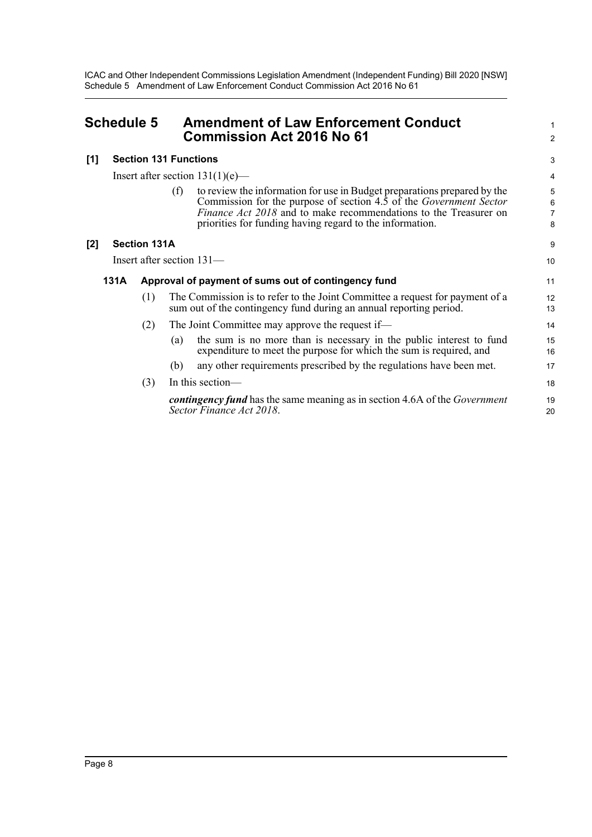ICAC and Other Independent Commissions Legislation Amendment (Independent Funding) Bill 2020 [NSW] Schedule 5 Amendment of Law Enforcement Conduct Commission Act 2016 No 61

<span id="page-10-0"></span>

| <b>Schedule 5</b> |                              |                     | <b>Amendment of Law Enforcement Conduct</b><br><b>Commission Act 2016 No 61</b> |                                                                                                                                                                                                                                                                                       |                  |
|-------------------|------------------------------|---------------------|---------------------------------------------------------------------------------|---------------------------------------------------------------------------------------------------------------------------------------------------------------------------------------------------------------------------------------------------------------------------------------|------------------|
| [1]               | <b>Section 131 Functions</b> |                     |                                                                                 |                                                                                                                                                                                                                                                                                       | 3                |
|                   |                              |                     |                                                                                 | Insert after section $131(1)(e)$ —                                                                                                                                                                                                                                                    | 4                |
|                   |                              |                     | (f)                                                                             | to review the information for use in Budget preparations prepared by the<br>Commission for the purpose of section 4.5 of the Government Sector<br><i>Finance Act 2018</i> and to make recommendations to the Treasurer on<br>priorities for funding having regard to the information. | 5<br>6<br>7<br>8 |
| [2]               |                              | <b>Section 131A</b> |                                                                                 |                                                                                                                                                                                                                                                                                       | 9                |
|                   | Insert after section 131-    |                     |                                                                                 |                                                                                                                                                                                                                                                                                       | 10               |
|                   | 131A                         |                     |                                                                                 | Approval of payment of sums out of contingency fund                                                                                                                                                                                                                                   | 11               |
|                   |                              | (1)                 |                                                                                 | The Commission is to refer to the Joint Committee a request for payment of a<br>sum out of the contingency fund during an annual reporting period.                                                                                                                                    | 12<br>13         |
|                   |                              | (2)                 |                                                                                 | The Joint Committee may approve the request if—                                                                                                                                                                                                                                       | 14               |
|                   |                              |                     | (a)                                                                             | the sum is no more than is necessary in the public interest to fund<br>expenditure to meet the purpose for which the sum is required, and                                                                                                                                             | 15<br>16         |
|                   |                              |                     | (b)                                                                             | any other requirements prescribed by the regulations have been met.                                                                                                                                                                                                                   | 17               |
|                   |                              | (3)                 |                                                                                 | In this section-                                                                                                                                                                                                                                                                      | 18               |
|                   |                              |                     |                                                                                 | <b>contingency fund</b> has the same meaning as in section 4.6A of the <i>Government</i><br>Sector Finance Act 2018.                                                                                                                                                                  | 19<br>20         |